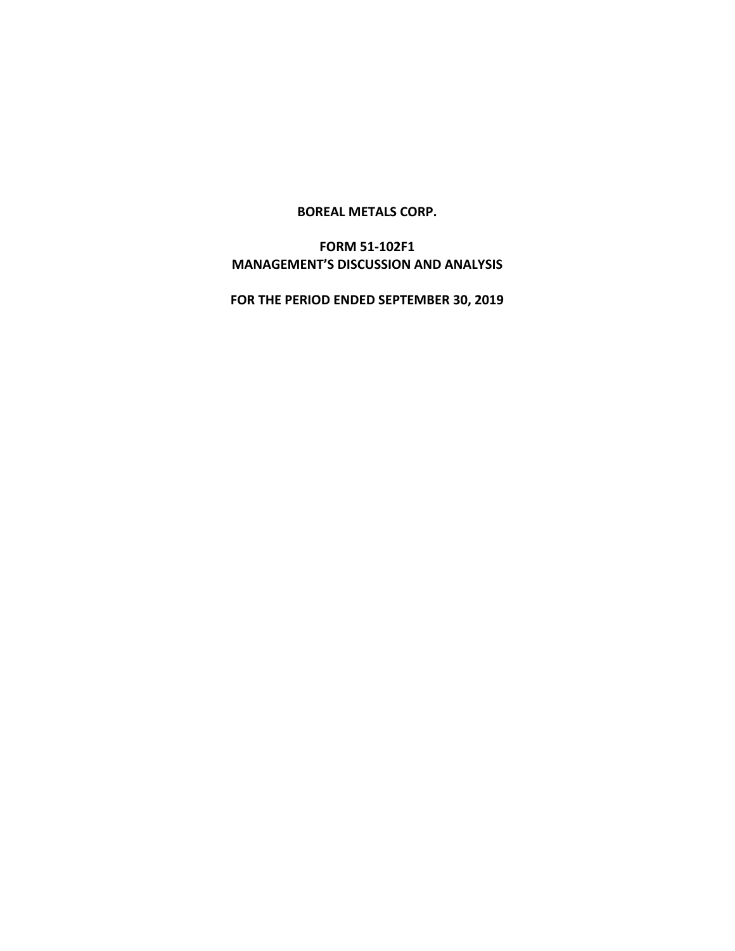### **BOREAL METALS CORP.**

# **FORM 51-102F1 MANAGEMENT'S DISCUSSION AND ANALYSIS**

**FOR THE PERIOD ENDED SEPTEMBER 30, 2019**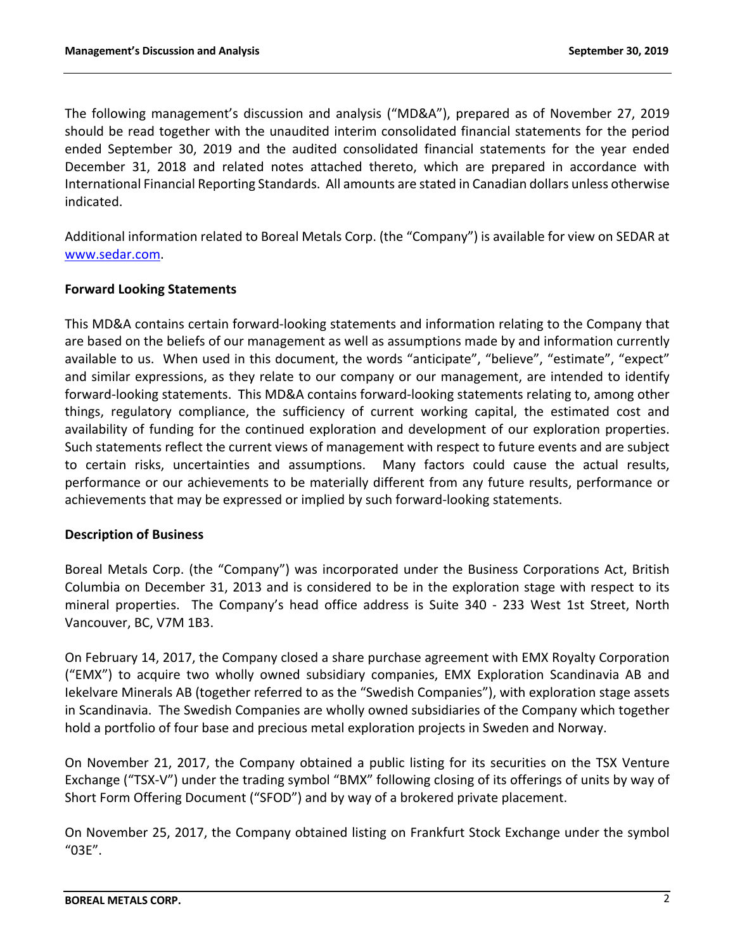The following management's discussion and analysis ("MD&A"), prepared as of November 27, 2019 should be read together with the unaudited interim consolidated financial statements for the period ended September 30, 2019 and the audited consolidated financial statements for the year ended December 31, 2018 and related notes attached thereto, which are prepared in accordance with International Financial Reporting Standards. All amounts are stated in Canadian dollars unless otherwise indicated.

Additional information related to Boreal Metals Corp. (the "Company") is available for view on SEDAR at www.sedar.com.

# **Forward Looking Statements**

This MD&A contains certain forward-looking statements and information relating to the Company that are based on the beliefs of our management as well as assumptions made by and information currently available to us. When used in this document, the words "anticipate", "believe", "estimate", "expect" and similar expressions, as they relate to our company or our management, are intended to identify forward-looking statements. This MD&A contains forward-looking statements relating to, among other things, regulatory compliance, the sufficiency of current working capital, the estimated cost and availability of funding for the continued exploration and development of our exploration properties. Such statements reflect the current views of management with respect to future events and are subject to certain risks, uncertainties and assumptions. Many factors could cause the actual results, performance or our achievements to be materially different from any future results, performance or achievements that may be expressed or implied by such forward-looking statements.

# **Description of Business**

Boreal Metals Corp. (the "Company") was incorporated under the Business Corporations Act, British Columbia on December 31, 2013 and is considered to be in the exploration stage with respect to its mineral properties. The Company's head office address is Suite 340 - 233 West 1st Street, North Vancouver, BC, V7M 1B3.

On February 14, 2017, the Company closed a share purchase agreement with EMX Royalty Corporation ("EMX") to acquire two wholly owned subsidiary companies, EMX Exploration Scandinavia AB and Iekelvare Minerals AB (together referred to as the "Swedish Companies"), with exploration stage assets in Scandinavia. The Swedish Companies are wholly owned subsidiaries of the Company which together hold a portfolio of four base and precious metal exploration projects in Sweden and Norway.

On November 21, 2017, the Company obtained a public listing for its securities on the TSX Venture Exchange ("TSX-V") under the trading symbol "BMX" following closing of its offerings of units by way of Short Form Offering Document ("SFOD") and by way of a brokered private placement.

On November 25, 2017, the Company obtained listing on Frankfurt Stock Exchange under the symbol "03E".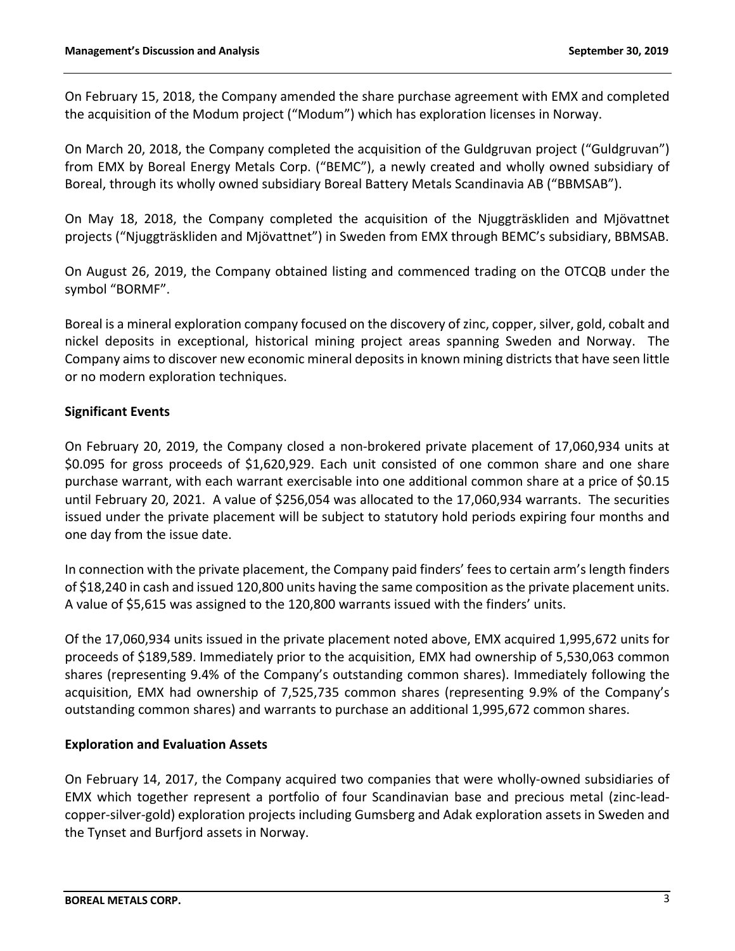On February 15, 2018, the Company amended the share purchase agreement with EMX and completed the acquisition of the Modum project ("Modum") which has exploration licenses in Norway.

On March 20, 2018, the Company completed the acquisition of the Guldgruvan project ("Guldgruvan") from EMX by Boreal Energy Metals Corp. ("BEMC"), a newly created and wholly owned subsidiary of Boreal, through its wholly owned subsidiary Boreal Battery Metals Scandinavia AB ("BBMSAB").

On May 18, 2018, the Company completed the acquisition of the Njuggträskliden and Mjövattnet projects ("Njuggträskliden and Mjövattnet") in Sweden from EMX through BEMC's subsidiary, BBMSAB.

On August 26, 2019, the Company obtained listing and commenced trading on the OTCQB under the symbol "BORMF".

Boreal is a mineral exploration company focused on the discovery of zinc, copper, silver, gold, cobalt and nickel deposits in exceptional, historical mining project areas spanning Sweden and Norway. The Company aims to discover new economic mineral deposits in known mining districts that have seen little or no modern exploration techniques.

# **Significant Events**

On February 20, 2019, the Company closed a non-brokered private placement of 17,060,934 units at \$0.095 for gross proceeds of \$1,620,929. Each unit consisted of one common share and one share purchase warrant, with each warrant exercisable into one additional common share at a price of \$0.15 until February 20, 2021. A value of \$256,054 was allocated to the 17,060,934 warrants. The securities issued under the private placement will be subject to statutory hold periods expiring four months and one day from the issue date.

In connection with the private placement, the Company paid finders' fees to certain arm's length finders of \$18,240 in cash and issued 120,800 units having the same composition as the private placement units. A value of \$5,615 was assigned to the 120,800 warrants issued with the finders' units.

Of the 17,060,934 units issued in the private placement noted above, EMX acquired 1,995,672 units for proceeds of \$189,589. Immediately prior to the acquisition, EMX had ownership of 5,530,063 common shares (representing 9.4% of the Company's outstanding common shares). Immediately following the acquisition, EMX had ownership of 7,525,735 common shares (representing 9.9% of the Company's outstanding common shares) and warrants to purchase an additional 1,995,672 common shares.

# **Exploration and Evaluation Assets**

On February 14, 2017, the Company acquired two companies that were wholly-owned subsidiaries of EMX which together represent a portfolio of four Scandinavian base and precious metal (zinc-leadcopper-silver-gold) exploration projects including Gumsberg and Adak exploration assets in Sweden and the Tynset and Burfjord assets in Norway.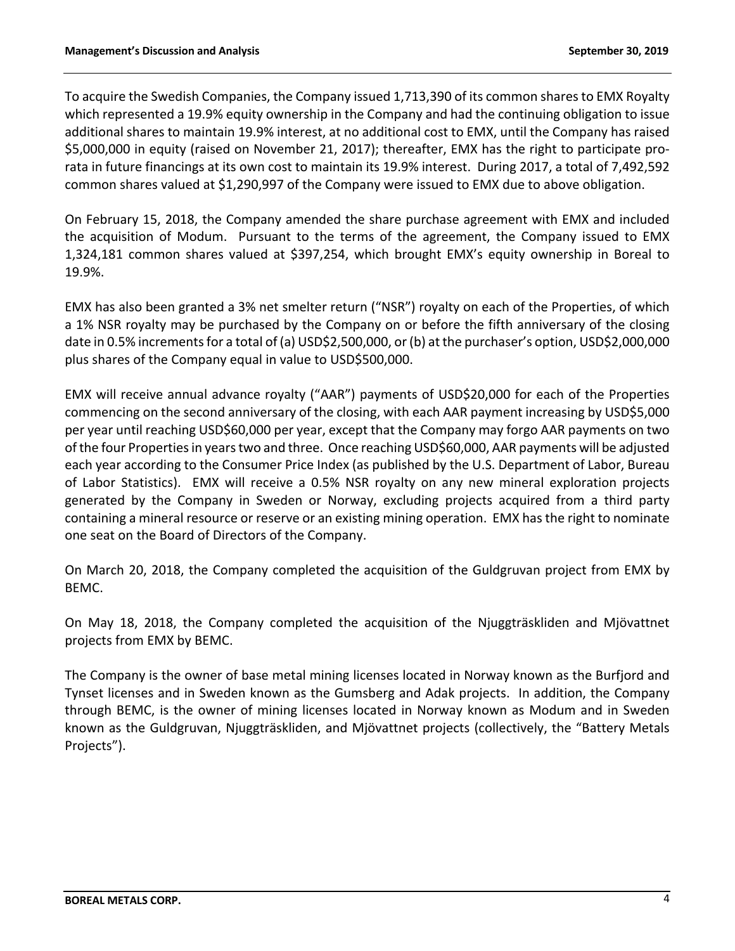To acquire the Swedish Companies, the Company issued 1,713,390 of its common shares to EMX Royalty which represented a 19.9% equity ownership in the Company and had the continuing obligation to issue additional shares to maintain 19.9% interest, at no additional cost to EMX, until the Company has raised \$5,000,000 in equity (raised on November 21, 2017); thereafter, EMX has the right to participate prorata in future financings at its own cost to maintain its 19.9% interest. During 2017, a total of 7,492,592 common shares valued at \$1,290,997 of the Company were issued to EMX due to above obligation.

On February 15, 2018, the Company amended the share purchase agreement with EMX and included the acquisition of Modum. Pursuant to the terms of the agreement, the Company issued to EMX 1,324,181 common shares valued at \$397,254, which brought EMX's equity ownership in Boreal to 19.9%.

EMX has also been granted a 3% net smelter return ("NSR") royalty on each of the Properties, of which a 1% NSR royalty may be purchased by the Company on or before the fifth anniversary of the closing date in 0.5% increments for a total of (a) USD\$2,500,000, or (b) at the purchaser's option, USD\$2,000,000 plus shares of the Company equal in value to USD\$500,000.

EMX will receive annual advance royalty ("AAR") payments of USD\$20,000 for each of the Properties commencing on the second anniversary of the closing, with each AAR payment increasing by USD\$5,000 per year until reaching USD\$60,000 per year, except that the Company may forgo AAR payments on two of the four Properties in years two and three. Once reaching USD\$60,000, AAR payments will be adjusted each year according to the Consumer Price Index (as published by the U.S. Department of Labor, Bureau of Labor Statistics). EMX will receive a 0.5% NSR royalty on any new mineral exploration projects generated by the Company in Sweden or Norway, excluding projects acquired from a third party containing a mineral resource or reserve or an existing mining operation. EMX has the right to nominate one seat on the Board of Directors of the Company.

On March 20, 2018, the Company completed the acquisition of the Guldgruvan project from EMX by BEMC.

On May 18, 2018, the Company completed the acquisition of the Njuggträskliden and Mjövattnet projects from EMX by BEMC.

The Company is the owner of base metal mining licenses located in Norway known as the Burfjord and Tynset licenses and in Sweden known as the Gumsberg and Adak projects. In addition, the Company through BEMC, is the owner of mining licenses located in Norway known as Modum and in Sweden known as the Guldgruvan, Njuggträskliden, and Mjövattnet projects (collectively, the "Battery Metals Projects").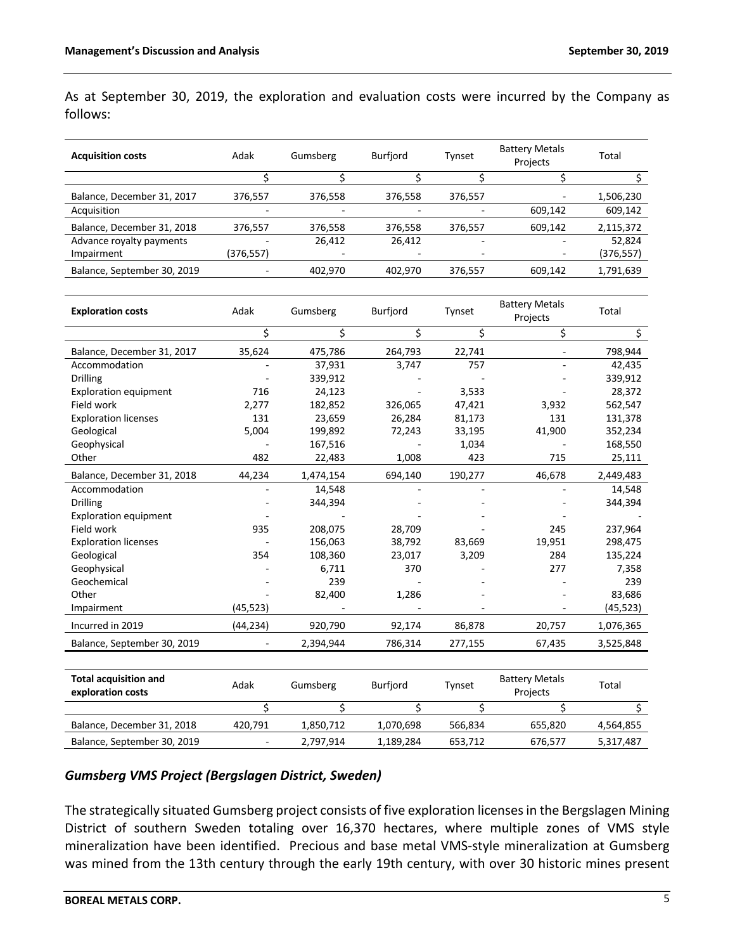As at September 30, 2019, the exploration and evaluation costs were incurred by the Company as follows:

| <b>Acquisition costs</b>                          | Adak           | Gumsberg  | <b>Burfjord</b> | Tynset         | <b>Battery Metals</b><br>Projects | Total      |
|---------------------------------------------------|----------------|-----------|-----------------|----------------|-----------------------------------|------------|
|                                                   | \$             | \$        | \$              | \$             | \$                                | \$         |
| Balance, December 31, 2017                        | 376,557        | 376,558   | 376,558         | 376,557        | $\overline{\phantom{a}}$          | 1,506,230  |
| Acquisition                                       |                |           |                 |                | 609,142                           | 609,142    |
| Balance, December 31, 2018                        | 376,557        | 376,558   | 376,558         | 376,557        | 609,142                           | 2,115,372  |
| Advance royalty payments                          |                | 26,412    | 26,412          | $\overline{a}$ | $\overline{a}$                    | 52,824     |
| Impairment                                        | (376, 557)     |           |                 |                |                                   | (376, 557) |
| Balance, September 30, 2019                       |                | 402,970   | 402,970         | 376,557        | 609,142                           | 1,791,639  |
|                                                   |                |           |                 |                |                                   |            |
| <b>Exploration costs</b>                          | Adak           | Gumsberg  | Burfjord        | Tynset         | <b>Battery Metals</b><br>Projects | Total      |
|                                                   | \$             | \$        | \$              | \$             | \$                                | Ś.         |
| Balance, December 31, 2017                        | 35,624         | 475,786   | 264,793         | 22,741         |                                   | 798,944    |
| Accommodation                                     |                | 37,931    | 3,747           | 757            |                                   | 42,435     |
| <b>Drilling</b>                                   |                | 339,912   |                 |                |                                   | 339,912    |
| <b>Exploration equipment</b>                      | 716            | 24,123    |                 | 3,533          |                                   | 28,372     |
| Field work                                        | 2,277          | 182,852   | 326,065         | 47,421         | 3,932                             | 562,547    |
| <b>Exploration licenses</b>                       | 131            | 23,659    | 26,284          | 81,173         | 131                               | 131,378    |
| Geological                                        | 5,004          | 199,892   | 72,243          | 33,195         | 41,900                            | 352,234    |
| Geophysical                                       |                | 167,516   |                 | 1,034          |                                   | 168,550    |
| Other                                             | 482            | 22,483    | 1,008           | 423            | 715                               | 25,111     |
| Balance, December 31, 2018                        | 44,234         | 1,474,154 | 694,140         | 190,277        | 46,678                            | 2,449,483  |
| Accommodation                                     |                | 14,548    |                 |                |                                   | 14,548     |
| <b>Drilling</b>                                   |                | 344,394   |                 |                |                                   | 344,394    |
| <b>Exploration equipment</b>                      |                |           |                 |                |                                   |            |
| Field work                                        | 935            | 208,075   | 28,709          |                | 245                               | 237,964    |
| <b>Exploration licenses</b>                       |                | 156,063   | 38,792          | 83,669         | 19,951                            | 298,475    |
| Geological                                        | 354            | 108,360   | 23,017          | 3,209          | 284                               | 135,224    |
| Geophysical                                       |                | 6,711     | 370             |                | 277                               | 7,358      |
| Geochemical                                       |                | 239       |                 |                |                                   | 239        |
| Other                                             |                | 82,400    | 1,286           |                |                                   | 83,686     |
| Impairment                                        | (45, 523)      |           |                 |                |                                   | (45, 523)  |
| Incurred in 2019                                  | (44, 234)      | 920,790   | 92,174          | 86,878         | 20,757                            | 1,076,365  |
| Balance, September 30, 2019                       |                | 2,394,944 | 786,314         | 277,155        | 67,435                            | 3,525,848  |
|                                                   |                |           |                 |                |                                   |            |
| <b>Total acquisition and</b><br>exploration costs | Adak           | Gumsberg  | Burfjord        | Tynset         | <b>Battery Metals</b><br>Projects | Total      |
|                                                   | \$             | \$        | \$              | \$             | \$                                | \$         |
| Balance, December 31, 2018                        | 420,791        | 1,850,712 | 1,070,698       | 566,834        | 655,820                           | 4,564,855  |
| Balance, September 30, 2019                       | $\blacksquare$ | 2,797,914 | 1,189,284       | 653,712        | 676,577                           | 5,317,487  |

# *Gumsberg VMS Project (Bergslagen District, Sweden)*

The strategically situated Gumsberg project consists of five exploration licenses in the Bergslagen Mining District of southern Sweden totaling over 16,370 hectares, where multiple zones of VMS style mineralization have been identified. Precious and base metal VMS-style mineralization at Gumsberg was mined from the 13th century through the early 19th century, with over 30 historic mines present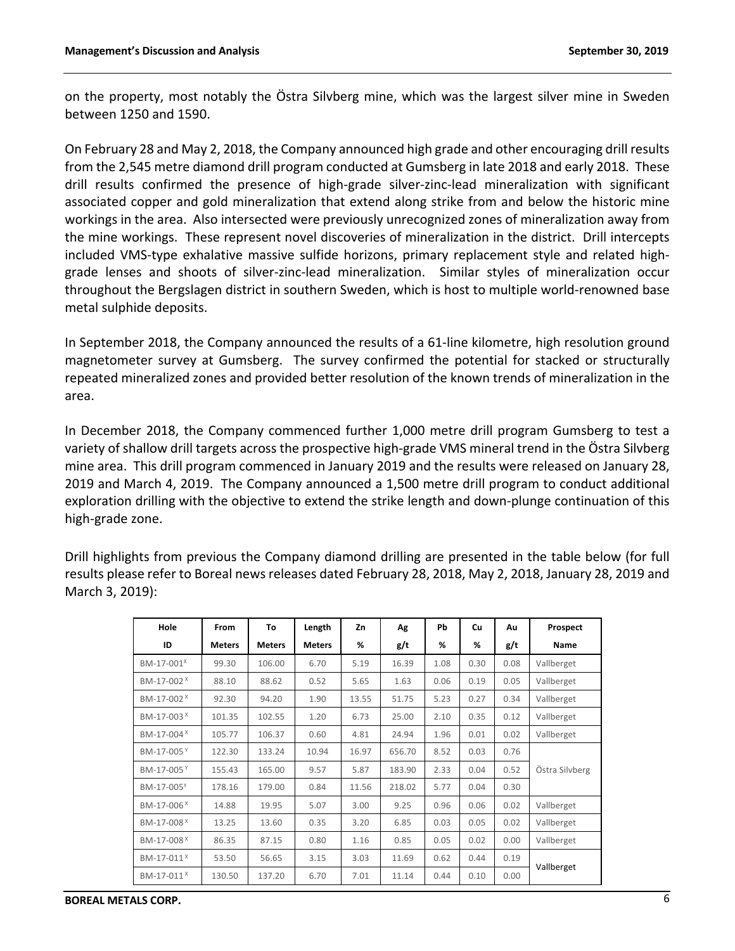on the property, most notably the Östra Silvberg mine, which was the largest silver mine in Sweden between 1250 and 1590.

On February 28 and May 2, 2018, the Company announced high grade and other encouraging drill results from the 2,545 metre diamond drill program conducted at Gumsberg in late 2018 and early 2018. These drill results confirmed the presence of high-grade silver-zinc-lead mineralization with significant associated copper and gold mineralization that extend along strike from and below the historic mine workings in the area. Also intersected were previously unrecognized zones of mineralization away from the mine workings. These represent novel discoveries of mineralization in the district. Drill intercepts included VMS-type exhalative massive sulfide horizons, primary replacement style and related highgrade lenses and shoots of silver-zinc-lead mineralization. Similar styles of mineralization occur throughout the Bergslagen district in southern Sweden, which is host to multiple world-renowned base metal sulphide deposits.

In September 2018, the Company announced the results of a 61-line kilometre, high resolution ground magnetometer survey at Gumsberg. The survey confirmed the potential for stacked or structurally repeated mineralized zones and provided better resolution of the known trends of mineralization in the area.

In December 2018, the Company commenced further 1,000 metre drill program Gumsberg to test a variety of shallow drill targets across the prospective high-grade VMS mineral trend in the Östra Silvberg mine area. This drill program commenced in January 2019 and the results were released on January 28, 2019 and March 4, 2019. The Company announced a 1,500 metre drill program to conduct additional exploration drilling with the objective to extend the strike length and down-plunge continuation of this high-grade zone.

Drill highlights from previous the Company diamond drilling are presented in the table below (for full results please refer to Boreal news releases dated February 28, 2018, May 2, 2018, January 28, 2019 and March 3, 2019):

| Hole                   | From          | To            | Length        | Zn    | Ag     | Pb   | Cu   | Au   | Prospect       |
|------------------------|---------------|---------------|---------------|-------|--------|------|------|------|----------------|
| ID                     | <b>Meters</b> | <b>Meters</b> | <b>Meters</b> | %     | g/t    | %    | %    | g/t  | Name           |
| BM-17-001 <sup>x</sup> | 99.30         | 106.00        | 6.70          | 5.19  | 16.39  | 1.08 | 0.30 | 0.08 | Vallberget     |
| BM-17-002 <sup>X</sup> | 88.10         | 88.62         | 0.52          | 5.65  | 1.63   | 0.06 | 0.19 | 0.05 | Vallberget     |
| BM-17-002 <sup>X</sup> | 92.30         | 94.20         | 1.90          | 13.55 | 51.75  | 5.23 | 0.27 | 0.34 | Vallberget     |
| BM-17-003 <sup>X</sup> | 101.35        | 102.55        | 1.20          | 6.73  | 25.00  | 2.10 | 0.35 | 0.12 | Vallberget     |
| BM-17-004 <sup>X</sup> | 105.77        | 106.37        | 0.60          | 4.81  | 24.94  | 1.96 | 0.01 | 0.02 | Vallberget     |
| BM-17-005Y             | 122.30        | 133.24        | 10.94         | 16.97 | 656.70 | 8.52 | 0.03 | 0.76 |                |
| BM-17-005Y             | 155.43        | 165.00        | 9.57          | 5.87  | 183.90 | 2.33 | 0.04 | 0.52 | Östra Silvberg |
| BM-17-005 <sup>Y</sup> | 178.16        | 179.00        | 0.84          | 11.56 | 218.02 | 5.77 | 0.04 | 0.30 |                |
| BM-17-006 <sup>X</sup> | 14.88         | 19.95         | 5.07          | 3.00  | 9.25   | 0.96 | 0.06 | 0.02 | Vallberget     |
| BM-17-008 <sup>X</sup> | 13.25         | 13.60         | 0.35          | 3.20  | 6.85   | 0.03 | 0.05 | 0.02 | Vallberget     |
| BM-17-008 <sup>X</sup> | 86.35         | 87.15         | 0.80          | 1.16  | 0.85   | 0.05 | 0.02 | 0.00 | Vallberget     |
| BM-17-011 <sup>X</sup> | 53.50         | 56.65         | 3.15          | 3.03  | 11.69  | 0.62 | 0.44 | 0.19 |                |
| BM-17-011 <sup>X</sup> | 130.50        | 137.20        | 6.70          | 7.01  | 11.14  | 0.44 | 0.10 | 0.00 | Vallberget     |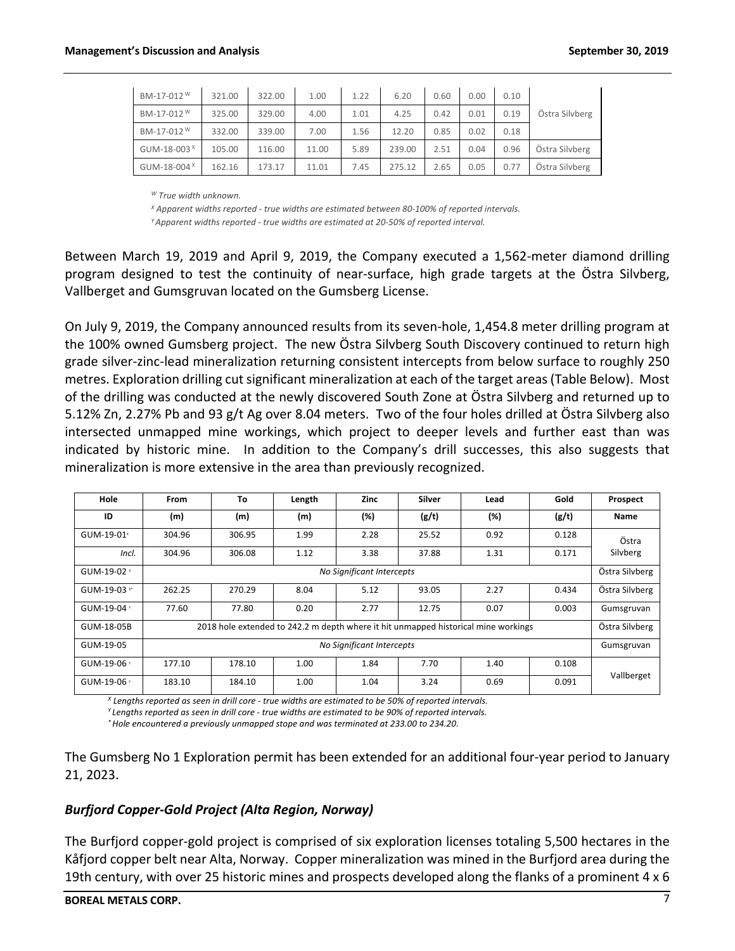| BM-17-012 <sup>W</sup>  | 321.00 | 322.00 | 1.00  | 1.22 | 6.20   | 0.60 | 0.00 | 0.10 |                |
|-------------------------|--------|--------|-------|------|--------|------|------|------|----------------|
| BM-17-012 <sup>W</sup>  | 325.00 | 329.00 | 4.00  | 1.01 | 4.25   | 0.42 | 0.01 | 0.19 | Östra Silvberg |
| BM-17-012 <sup>W</sup>  | 332.00 | 339.00 | 7.00  | 1.56 | 12.20  | 0.85 | 0.02 | 0.18 |                |
| GUM-18-003 <sup>X</sup> | 105.00 | 116.00 | 11.00 | 5.89 | 239.00 | 2.51 | 0.04 | 0.96 | Östra Silvberg |
| GUM-18-004 <sup>X</sup> | 162.16 | 173.17 | 11.01 | 7.45 | 275.12 | 2.65 | 0.05 | 0.77 | Östra Silvberg |

*<sup>W</sup> True width unknown.*

*<sup>X</sup> Apparent widths reported - true widths are estimated between 80-100% of reported intervals. Y Apparent widths reported - true widths are estimated at 20-50% of reported interval.*

Between March 19, 2019 and April 9, 2019, the Company executed a 1,562-meter diamond drilling program designed to test the continuity of near-surface, high grade targets at the Östra Silvberg, Vallberget and Gumsgruvan located on the Gumsberg License.

On July 9, 2019, the Company announced results from its seven-hole, 1,454.8 meter drilling program at the 100% owned Gumsberg project. The new Östra Silvberg South Discovery continued to return high grade silver-zinc-lead mineralization returning consistent intercepts from below surface to roughly 250 metres. Exploration drilling cut significant mineralization at each of the target areas (Table Below). Most of the drilling was conducted at the newly discovered South Zone at Östra Silvberg and returned up to 5.12% Zn, 2.27% Pb and 93 g/t Ag over 8.04 meters. Two of the four holes drilled at Östra Silvberg also intersected unmapped mine workings, which project to deeper levels and further east than was indicated by historic mine. In addition to the Company's drill successes, this also suggests that mineralization is more extensive in the area than previously recognized.

| Hole                   | From                      | To     | Length | Zinc | <b>Silver</b> | Lead                                                                               | Gold  | Prospect       |
|------------------------|---------------------------|--------|--------|------|---------------|------------------------------------------------------------------------------------|-------|----------------|
| ID                     | (m)                       | (m)    | (m)    | (%)  | (g/t)         | (%)                                                                                | (g/t) | <b>Name</b>    |
| GUM-19-01 <sup>x</sup> | 304.96                    | 306.95 | 1.99   | 2.28 | 25.52         | 0.92                                                                               | 0.128 | Östra          |
| Incl.                  | 304.96                    | 306.08 | 1.12   | 3.38 | 37.88         | 1.31                                                                               | 0.171 | Silvberg       |
| GUM-19-02 ×            | No Significant Intercepts |        |        |      |               |                                                                                    |       |                |
| GUM-19-03 *            | 262.25                    | 270.29 | 8.04   | 5.12 | 93.05         | 2.27                                                                               | 0.434 | Östra Silvberg |
| GUM-19-04 *            | 77.60                     | 77.80  | 0.20   | 2.77 | 12.75         | 0.07                                                                               | 0.003 | Gumsgruvan     |
| GUM-18-05B             |                           |        |        |      |               | 2018 hole extended to 242.2 m depth where it hit unmapped historical mine workings |       | Östra Silvberg |
| GUM-19-05              | No Significant Intercepts |        |        |      |               |                                                                                    |       | Gumsgruvan     |
| GUM-19-06 *            | 177.10                    | 178.10 | 1.00   | 1.84 | 7.70          | 1.40                                                                               | 0.108 |                |
| GUM-19-06 *            | 183.10                    | 184.10 | 1.00   | 1.04 | 3.24          | 0.69                                                                               | 0.091 | Vallberget     |

*<sup>X</sup> Lengths reported as seen in drill core - true widths are estimated to be 50% of reported intervals.*

*Y Lengths reported as seen in drill core - true widths are estimated to be 90% of reported intervals.*

*\* Hole encountered a previously unmapped stope and was terminated at 233.00 to 234.20*.

The Gumsberg No 1 Exploration permit has been extended for an additional four-year period to January 21, 2023.

#### *Burfjord Copper-Gold Project (Alta Region, Norway)*

The Burfjord copper-gold project is comprised of six exploration licenses totaling 5,500 hectares in the Kåfjord copper belt near Alta, Norway. Copper mineralization was mined in the Burfjord area during the 19th century, with over 25 historic mines and prospects developed along the flanks of a prominent 4 x 6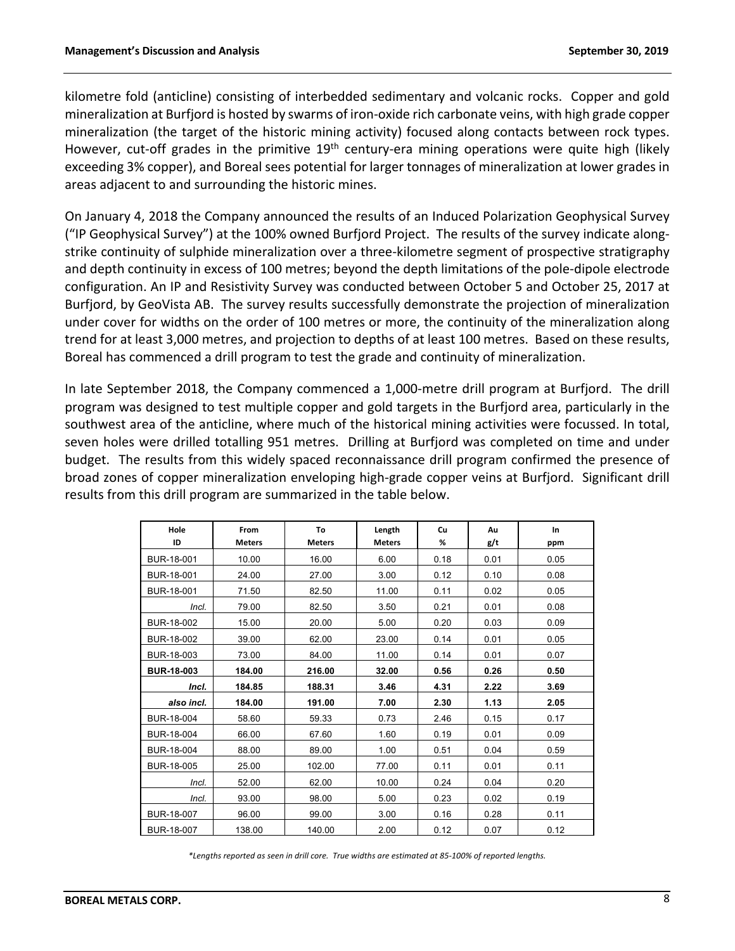kilometre fold (anticline) consisting of interbedded sedimentary and volcanic rocks. Copper and gold mineralization at Burfjord is hosted by swarms of iron-oxide rich carbonate veins, with high grade copper mineralization (the target of the historic mining activity) focused along contacts between rock types. However, cut-off grades in the primitive 19<sup>th</sup> century-era mining operations were quite high (likely exceeding 3% copper), and Boreal sees potential for larger tonnages of mineralization at lower grades in areas adjacent to and surrounding the historic mines.

On January 4, 2018 the Company announced the results of an Induced Polarization Geophysical Survey ("IP Geophysical Survey") at the 100% owned Burfjord Project. The results of the survey indicate alongstrike continuity of sulphide mineralization over a three-kilometre segment of prospective stratigraphy and depth continuity in excess of 100 metres; beyond the depth limitations of the pole-dipole electrode configuration. An IP and Resistivity Survey was conducted between October 5 and October 25, 2017 at Burfjord, by GeoVista AB. The survey results successfully demonstrate the projection of mineralization under cover for widths on the order of 100 metres or more, the continuity of the mineralization along trend for at least 3,000 metres, and projection to depths of at least 100 metres. Based on these results, Boreal has commenced a drill program to test the grade and continuity of mineralization.

In late September 2018, the Company commenced a 1,000-metre drill program at Burfjord. The drill program was designed to test multiple copper and gold targets in the Burfjord area, particularly in the southwest area of the anticline, where much of the historical mining activities were focussed. In total, seven holes were drilled totalling 951 metres. Drilling at Burfjord was completed on time and under budget. The results from this widely spaced reconnaissance drill program confirmed the presence of broad zones of copper mineralization enveloping high-grade copper veins at Burfjord. Significant drill results from this drill program are summarized in the table below.

| Hole<br>ID        | From<br><b>Meters</b> | To<br><b>Meters</b> | Length<br><b>Meters</b> | Cu<br>% | Au<br>g/t | In<br>ppm |
|-------------------|-----------------------|---------------------|-------------------------|---------|-----------|-----------|
| BUR-18-001        | 10.00                 | 16.00               | 6.00                    | 0.18    | 0.01      | 0.05      |
| BUR-18-001        | 24.00                 | 27.00               | 3.00                    | 0.12    | 0.10      | 0.08      |
| BUR-18-001        | 71.50                 | 82.50               | 11.00                   | 0.11    | 0.02      | 0.05      |
| Incl.             | 79.00                 | 82.50               | 3.50                    | 0.21    | 0.01      | 0.08      |
| BUR-18-002        | 15.00                 | 20.00               | 5.00                    | 0.20    | 0.03      | 0.09      |
| BUR-18-002        | 39.00                 | 62.00               | 23.00                   | 0.14    | 0.01      | 0.05      |
| BUR-18-003        | 73.00                 | 84.00               | 11.00                   | 0.14    | 0.01      | 0.07      |
| <b>BUR-18-003</b> | 184.00                | 216.00              | 32.00                   | 0.56    | 0.26      | 0.50      |
| Incl.             | 184.85                | 188.31              | 3.46                    | 4.31    | 2.22      | 3.69      |
| also incl.        | 184.00                | 191.00              | 7.00                    | 2.30    | 1.13      | 2.05      |
| BUR-18-004        | 58.60                 | 59.33               | 0.73                    | 2.46    | 0.15      | 0.17      |
| BUR-18-004        | 66.00                 | 67.60               | 1.60                    | 0.19    | 0.01      | 0.09      |
| BUR-18-004        | 88.00                 | 89.00               | 1.00                    | 0.51    | 0.04      | 0.59      |
| BUR-18-005        | 25.00                 | 102.00              | 77.00                   | 0.11    | 0.01      | 0.11      |
| Incl.             | 52.00                 | 62.00               | 10.00                   | 0.24    | 0.04      | 0.20      |
| Incl.             | 93.00                 | 98.00               | 5.00                    | 0.23    | 0.02      | 0.19      |
| BUR-18-007        | 96.00                 | 99.00               | 3.00                    | 0.16    | 0.28      | 0.11      |
| BUR-18-007        | 138.00                | 140.00              | 2.00                    | 0.12    | 0.07      | 0.12      |

*\*Lengths reported as seen in drill core. True widths are estimated at 85-100% of reported lengths.*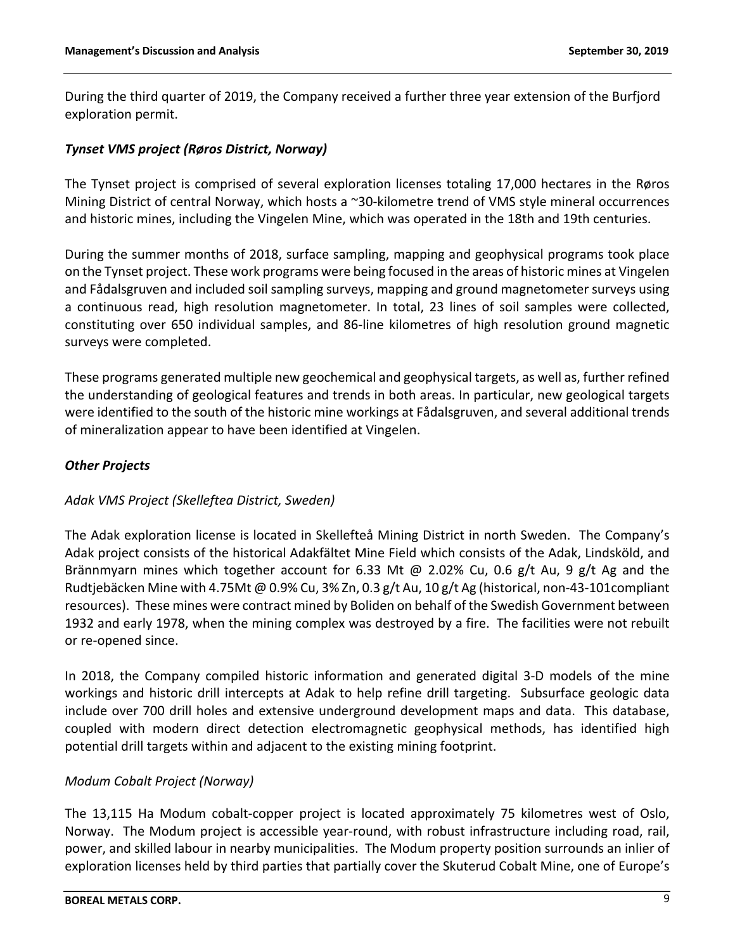During the third quarter of 2019, the Company received a further three year extension of the Burfjord exploration permit.

# *Tynset VMS project (Røros District, Norway)*

The Tynset project is comprised of several exploration licenses totaling 17,000 hectares in the Røros Mining District of central Norway, which hosts a ~30-kilometre trend of VMS style mineral occurrences and historic mines, including the Vingelen Mine, which was operated in the 18th and 19th centuries.

During the summer months of 2018, surface sampling, mapping and geophysical programs took place on the Tynset project. These work programs were being focused in the areas of historic mines at Vingelen and Fådalsgruven and included soil sampling surveys, mapping and ground magnetometer surveys using a continuous read, high resolution magnetometer. In total, 23 lines of soil samples were collected, constituting over 650 individual samples, and 86-line kilometres of high resolution ground magnetic surveys were completed.

These programs generated multiple new geochemical and geophysical targets, as well as, further refined the understanding of geological features and trends in both areas. In particular, new geological targets were identified to the south of the historic mine workings at Fådalsgruven, and several additional trends of mineralization appear to have been identified at Vingelen.

# *Other Projects*

# *Adak VMS Project (Skelleftea District, Sweden)*

The Adak exploration license is located in Skellefteå Mining District in north Sweden. The Company's Adak project consists of the historical Adakfältet Mine Field which consists of the Adak, Lindsköld, and Brännmyarn mines which together account for 6.33 Mt @ 2.02% Cu, 0.6 g/t Au, 9 g/t Ag and the Rudtjebäcken Mine with 4.75Mt @ 0.9% Cu, 3% Zn, 0.3 g/t Au, 10 g/t Ag (historical, non-43-101compliant resources). These mines were contract mined by Boliden on behalf of the Swedish Government between 1932 and early 1978, when the mining complex was destroyed by a fire. The facilities were not rebuilt or re-opened since.

In 2018, the Company compiled historic information and generated digital 3-D models of the mine workings and historic drill intercepts at Adak to help refine drill targeting. Subsurface geologic data include over 700 drill holes and extensive underground development maps and data. This database, coupled with modern direct detection electromagnetic geophysical methods, has identified high potential drill targets within and adjacent to the existing mining footprint.

#### *Modum Cobalt Project (Norway)*

The 13,115 Ha Modum cobalt-copper project is located approximately 75 kilometres west of Oslo, Norway. The Modum project is accessible year-round, with robust infrastructure including road, rail, power, and skilled labour in nearby municipalities. The Modum property position surrounds an inlier of exploration licenses held by third parties that partially cover the Skuterud Cobalt Mine, one of Europe's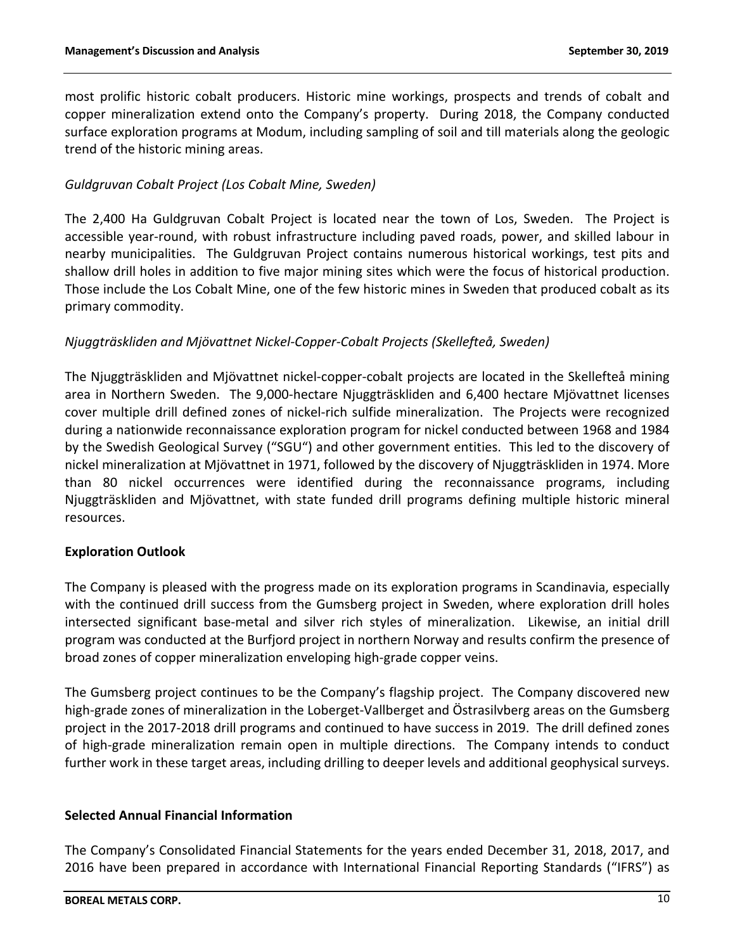most prolific historic cobalt producers. Historic mine workings, prospects and trends of cobalt and copper mineralization extend onto the Company's property. During 2018, the Company conducted surface exploration programs at Modum, including sampling of soil and till materials along the geologic trend of the historic mining areas.

# *Guldgruvan Cobalt Project (Los Cobalt Mine, Sweden)*

The 2,400 Ha Guldgruvan Cobalt Project is located near the town of Los, Sweden. The Project is accessible year-round, with robust infrastructure including paved roads, power, and skilled labour in nearby municipalities. The Guldgruvan Project contains numerous historical workings, test pits and shallow drill holes in addition to five major mining sites which were the focus of historical production. Those include the Los Cobalt Mine, one of the few historic mines in Sweden that produced cobalt as its primary commodity.

# *Njuggträskliden and Mjövattnet Nickel-Copper-Cobalt Projects (Skellefteå, Sweden)*

The Njuggträskliden and Mjövattnet nickel-copper-cobalt projects are located in the Skellefteå mining area in Northern Sweden. The 9,000-hectare Njuggträskliden and 6,400 hectare Mjövattnet licenses cover multiple drill defined zones of nickel-rich sulfide mineralization. The Projects were recognized during a nationwide reconnaissance exploration program for nickel conducted between 1968 and 1984 by the Swedish Geological Survey ("SGU") and other government entities. This led to the discovery of nickel mineralization at Mjövattnet in 1971, followed by the discovery of Njuggträskliden in 1974. More than 80 nickel occurrences were identified during the reconnaissance programs, including Njuggträskliden and Mjövattnet, with state funded drill programs defining multiple historic mineral resources.

# **Exploration Outlook**

The Company is pleased with the progress made on its exploration programs in Scandinavia, especially with the continued drill success from the Gumsberg project in Sweden, where exploration drill holes intersected significant base-metal and silver rich styles of mineralization. Likewise, an initial drill program was conducted at the Burfjord project in northern Norway and results confirm the presence of broad zones of copper mineralization enveloping high-grade copper veins.

The Gumsberg project continues to be the Company's flagship project. The Company discovered new high-grade zones of mineralization in the Loberget-Vallberget and Östrasilvberg areas on the Gumsberg project in the 2017-2018 drill programs and continued to have success in 2019. The drill defined zones of high-grade mineralization remain open in multiple directions. The Company intends to conduct further work in these target areas, including drilling to deeper levels and additional geophysical surveys.

# **Selected Annual Financial Information**

The Company's Consolidated Financial Statements for the years ended December 31, 2018, 2017, and 2016 have been prepared in accordance with International Financial Reporting Standards ("IFRS") as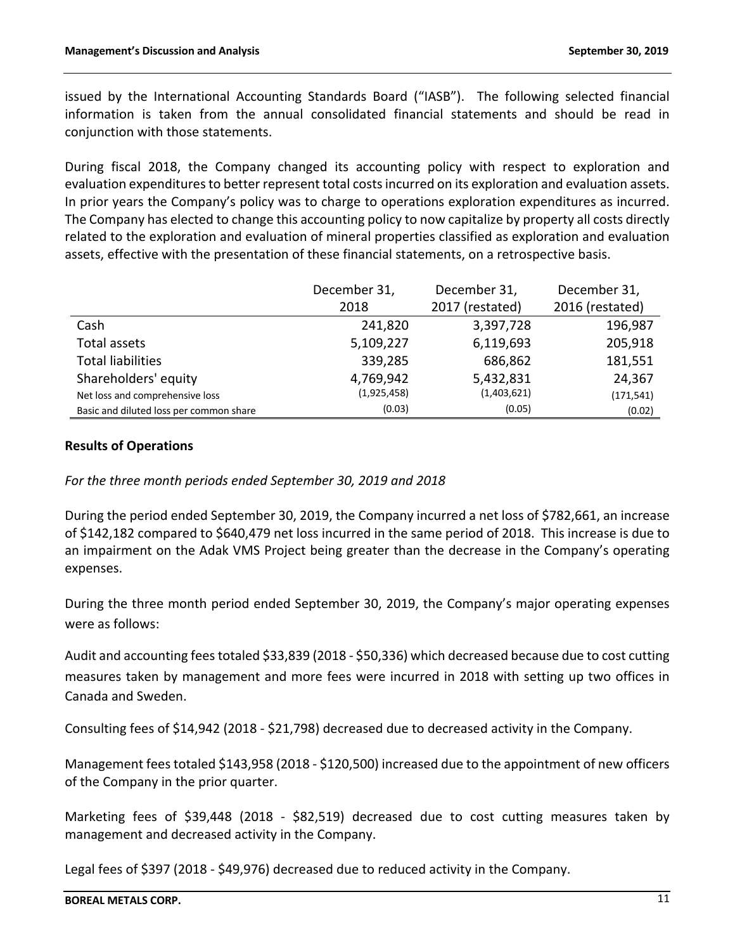issued by the International Accounting Standards Board ("IASB"). The following selected financial information is taken from the annual consolidated financial statements and should be read in conjunction with those statements.

During fiscal 2018, the Company changed its accounting policy with respect to exploration and evaluation expenditures to better represent total costs incurred on its exploration and evaluation assets. In prior years the Company's policy was to charge to operations exploration expenditures as incurred. The Company has elected to change this accounting policy to now capitalize by property all costs directly related to the exploration and evaluation of mineral properties classified as exploration and evaluation assets, effective with the presentation of these financial statements, on a retrospective basis.

|                                         | December 31, | December 31,    | December 31,    |
|-----------------------------------------|--------------|-----------------|-----------------|
|                                         | 2018         | 2017 (restated) | 2016 (restated) |
| Cash                                    | 241,820      | 3,397,728       | 196,987         |
| Total assets                            | 5,109,227    | 6,119,693       | 205,918         |
| <b>Total liabilities</b>                | 339,285      | 686,862         | 181,551         |
| Shareholders' equity                    | 4,769,942    | 5,432,831       | 24,367          |
| Net loss and comprehensive loss         | (1,925,458)  | (1,403,621)     | (171, 541)      |
| Basic and diluted loss per common share | (0.03)       | (0.05)          | (0.02)          |

### **Results of Operations**

*For the three month periods ended September 30, 2019 and 2018*

During the period ended September 30, 2019, the Company incurred a net loss of \$782,661, an increase of \$142,182 compared to \$640,479 net loss incurred in the same period of 2018. This increase is due to an impairment on the Adak VMS Project being greater than the decrease in the Company's operating expenses.

During the three month period ended September 30, 2019, the Company's major operating expenses were as follows:

Audit and accounting fees totaled \$33,839 (2018 - \$50,336) which decreased because due to cost cutting measures taken by management and more fees were incurred in 2018 with setting up two offices in Canada and Sweden.

Consulting fees of \$14,942 (2018 - \$21,798) decreased due to decreased activity in the Company.

Management fees totaled \$143,958 (2018 - \$120,500) increased due to the appointment of new officers of the Company in the prior quarter.

Marketing fees of \$39,448 (2018 - \$82,519) decreased due to cost cutting measures taken by management and decreased activity in the Company.

Legal fees of \$397 (2018 - \$49,976) decreased due to reduced activity in the Company.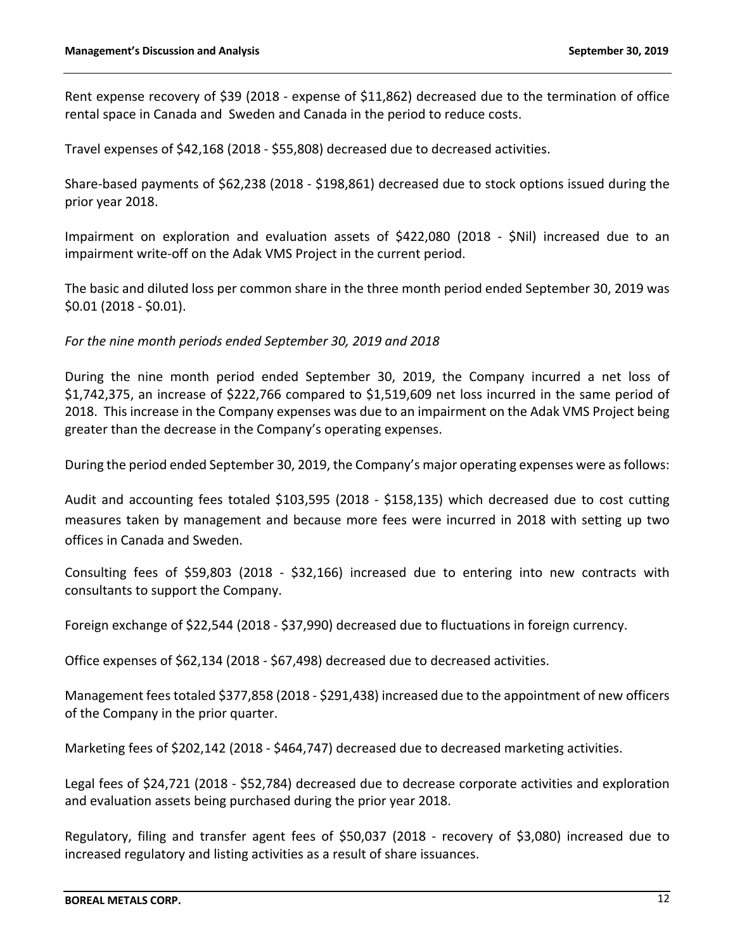Rent expense recovery of \$39 (2018 - expense of \$11,862) decreased due to the termination of office rental space in Canada and Sweden and Canada in the period to reduce costs.

Travel expenses of \$42,168 (2018 - \$55,808) decreased due to decreased activities.

Share-based payments of \$62,238 (2018 - \$198,861) decreased due to stock options issued during the prior year 2018.

Impairment on exploration and evaluation assets of \$422,080 (2018 - \$Nil) increased due to an impairment write-off on the Adak VMS Project in the current period.

The basic and diluted loss per common share in the three month period ended September 30, 2019 was \$0.01 (2018 - \$0.01).

*For the nine month periods ended September 30, 2019 and 2018*

During the nine month period ended September 30, 2019, the Company incurred a net loss of \$1,742,375, an increase of \$222,766 compared to \$1,519,609 net loss incurred in the same period of 2018. This increase in the Company expenses was due to an impairment on the Adak VMS Project being greater than the decrease in the Company's operating expenses.

During the period ended September 30, 2019, the Company's major operating expenses were as follows:

Audit and accounting fees totaled \$103,595 (2018 - \$158,135) which decreased due to cost cutting measures taken by management and because more fees were incurred in 2018 with setting up two offices in Canada and Sweden.

Consulting fees of \$59,803 (2018 - \$32,166) increased due to entering into new contracts with consultants to support the Company.

Foreign exchange of \$22,544 (2018 - \$37,990) decreased due to fluctuations in foreign currency.

Office expenses of \$62,134 (2018 - \$67,498) decreased due to decreased activities.

Management fees totaled \$377,858 (2018 - \$291,438) increased due to the appointment of new officers of the Company in the prior quarter.

Marketing fees of \$202,142 (2018 - \$464,747) decreased due to decreased marketing activities.

Legal fees of \$24,721 (2018 - \$52,784) decreased due to decrease corporate activities and exploration and evaluation assets being purchased during the prior year 2018.

Regulatory, filing and transfer agent fees of \$50,037 (2018 - recovery of \$3,080) increased due to increased regulatory and listing activities as a result of share issuances.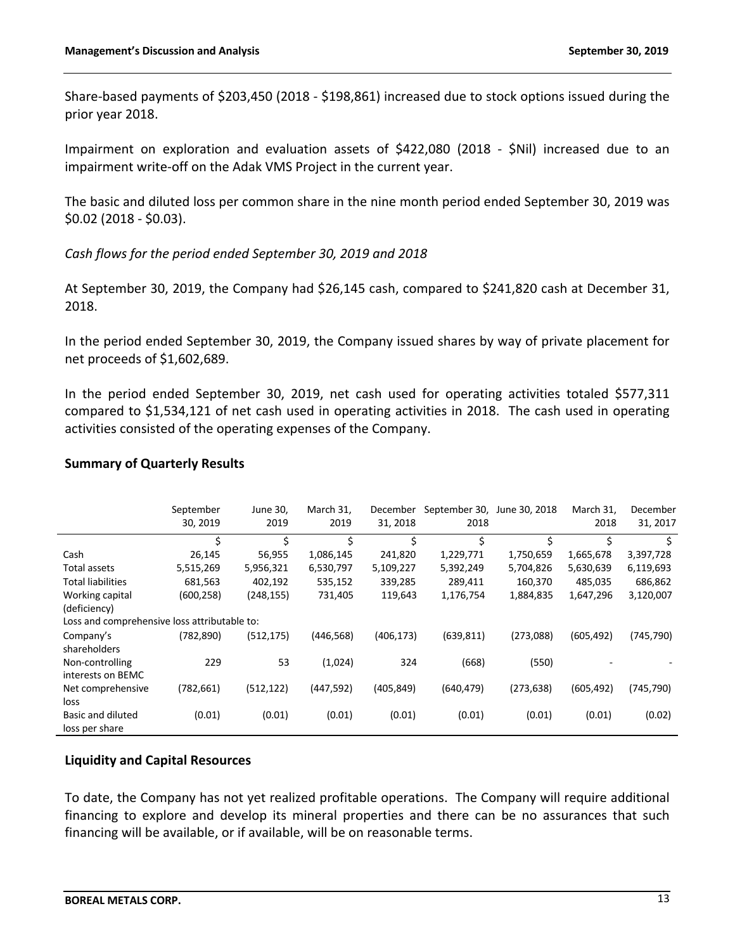Share-based payments of \$203,450 (2018 - \$198,861) increased due to stock options issued during the prior year 2018.

Impairment on exploration and evaluation assets of \$422,080 (2018 - \$Nil) increased due to an impairment write-off on the Adak VMS Project in the current year.

The basic and diluted loss per common share in the nine month period ended September 30, 2019 was \$0.02 (2018 - \$0.03).

*Cash flows for the period ended September 30, 2019 and 2018*

At September 30, 2019, the Company had \$26,145 cash, compared to \$241,820 cash at December 31, 2018.

In the period ended September 30, 2019, the Company issued shares by way of private placement for net proceeds of \$1,602,689.

In the period ended September 30, 2019, net cash used for operating activities totaled \$577,311 compared to \$1,534,121 of net cash used in operating activities in 2018. The cash used in operating activities consisted of the operating expenses of the Company.

### **Summary of Quarterly Results**

|                                              | September<br>30, 2019 | June 30,<br>2019 | March 31,<br>2019 | December<br>31, 2018 | September 30, June 30, 2018<br>2018 |            | March 31,<br>2018 | December<br>31, 2017 |
|----------------------------------------------|-----------------------|------------------|-------------------|----------------------|-------------------------------------|------------|-------------------|----------------------|
|                                              | \$                    | \$               | \$                | \$                   | \$                                  | \$         | \$                | Ŝ.                   |
| Cash                                         | 26,145                | 56,955           | 1,086,145         | 241,820              | 1,229,771                           | 1,750,659  | 1,665,678         | 3,397,728            |
| Total assets                                 | 5,515,269             | 5,956,321        | 6,530,797         | 5,109,227            | 5,392,249                           | 5,704,826  | 5,630,639         | 6,119,693            |
| <b>Total liabilities</b>                     | 681,563               | 402,192          | 535,152           | 339,285              | 289,411                             | 160,370    | 485,035           | 686,862              |
| Working capital                              | (600,258)             | (248, 155)       | 731,405           | 119,643              | 1,176,754                           | 1,884,835  | 1,647,296         | 3,120,007            |
| (deficiency)                                 |                       |                  |                   |                      |                                     |            |                   |                      |
| Loss and comprehensive loss attributable to: |                       |                  |                   |                      |                                     |            |                   |                      |
| Company's                                    | (782, 890)            | (512, 175)       | (446, 568)        | (406, 173)           | (639, 811)                          | (273,088)  | (605, 492)        | (745, 790)           |
| shareholders                                 |                       |                  |                   |                      |                                     |            |                   |                      |
| Non-controlling                              | 229                   | 53               | (1,024)           | 324                  | (668)                               | (550)      |                   |                      |
| interests on BEMC                            |                       |                  |                   |                      |                                     |            |                   |                      |
| Net comprehensive                            | (782, 661)            | (512, 122)       | (447, 592)        | (405, 849)           | (640, 479)                          | (273, 638) | (605, 492)        | (745, 790)           |
| loss                                         |                       |                  |                   |                      |                                     |            |                   |                      |
| Basic and diluted                            | (0.01)                | (0.01)           | (0.01)            | (0.01)               | (0.01)                              | (0.01)     | (0.01)            | (0.02)               |
| loss per share                               |                       |                  |                   |                      |                                     |            |                   |                      |

# **Liquidity and Capital Resources**

To date, the Company has not yet realized profitable operations. The Company will require additional financing to explore and develop its mineral properties and there can be no assurances that such financing will be available, or if available, will be on reasonable terms.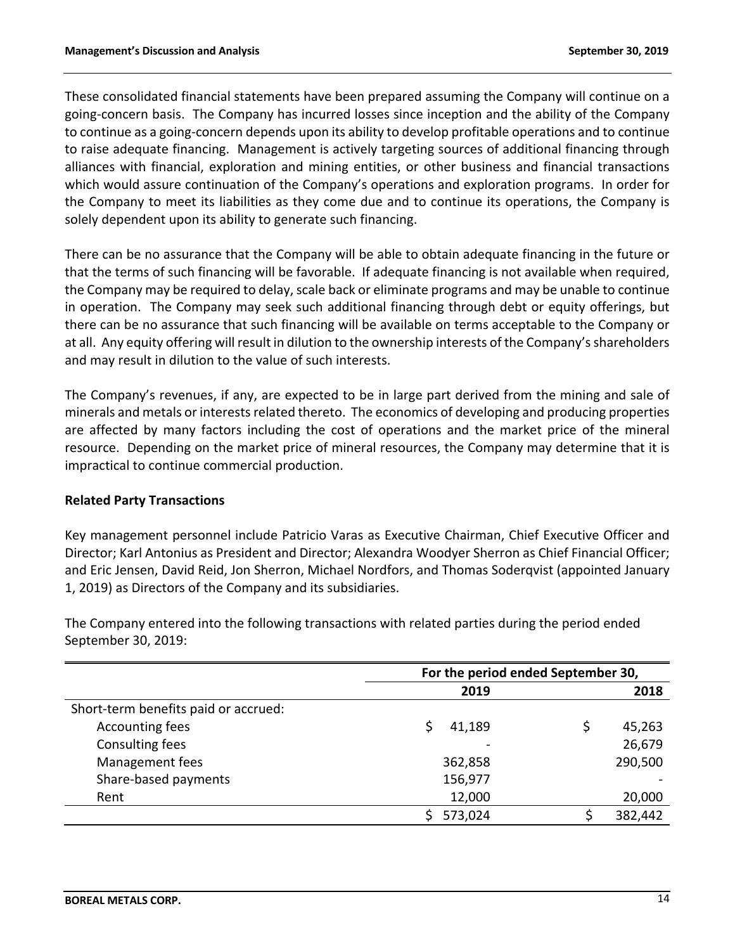These consolidated financial statements have been prepared assuming the Company will continue on a going-concern basis. The Company has incurred losses since inception and the ability of the Company to continue as a going-concern depends upon its ability to develop profitable operations and to continue to raise adequate financing. Management is actively targeting sources of additional financing through alliances with financial, exploration and mining entities, or other business and financial transactions which would assure continuation of the Company's operations and exploration programs. In order for the Company to meet its liabilities as they come due and to continue its operations, the Company is solely dependent upon its ability to generate such financing.

There can be no assurance that the Company will be able to obtain adequate financing in the future or that the terms of such financing will be favorable. If adequate financing is not available when required, the Company may be required to delay, scale back or eliminate programs and may be unable to continue in operation. The Company may seek such additional financing through debt or equity offerings, but there can be no assurance that such financing will be available on terms acceptable to the Company or at all. Any equity offering will result in dilution to the ownership interests of the Company's shareholders and may result in dilution to the value of such interests.

The Company's revenues, if any, are expected to be in large part derived from the mining and sale of minerals and metals or interests related thereto. The economics of developing and producing properties are affected by many factors including the cost of operations and the market price of the mineral resource. Depending on the market price of mineral resources, the Company may determine that it is impractical to continue commercial production.

# **Related Party Transactions**

Key management personnel include Patricio Varas as Executive Chairman, Chief Executive Officer and Director; Karl Antonius as President and Director; Alexandra Woodyer Sherron as Chief Financial Officer; and Eric Jensen, David Reid, Jon Sherron, Michael Nordfors, and Thomas Soderqvist (appointed January 1, 2019) as Directors of the Company and its subsidiaries.

**For the period ended September 30, 2019 2018** Short-term benefits paid or accrued: Accounting fees  $\uparrow$  41,189  $\uparrow$  45,263 Consulting fees 26,679 Management fees 362,858 290,500 Share-based payments 156,977 Rent 20,000 20,000 \$ 573,024 \$ 382,442

The Company entered into the following transactions with related parties during the period ended September 30, 2019: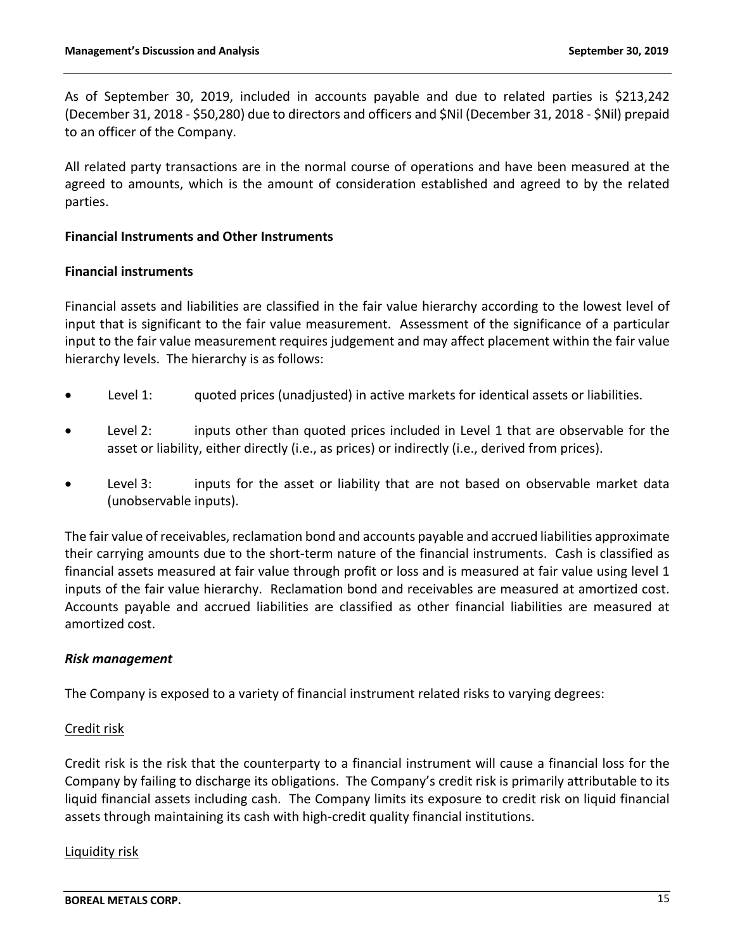As of September 30, 2019, included in accounts payable and due to related parties is \$213,242 (December 31, 2018 - \$50,280) due to directors and officers and \$Nil (December 31, 2018 - \$Nil) prepaid to an officer of the Company.

All related party transactions are in the normal course of operations and have been measured at the agreed to amounts, which is the amount of consideration established and agreed to by the related parties.

### **Financial Instruments and Other Instruments**

### **Financial instruments**

Financial assets and liabilities are classified in the fair value hierarchy according to the lowest level of input that is significant to the fair value measurement. Assessment of the significance of a particular input to the fair value measurement requires judgement and may affect placement within the fair value hierarchy levels. The hierarchy is as follows:

- Level 1: quoted prices (unadjusted) in active markets for identical assets or liabilities.
- Level 2: inputs other than quoted prices included in Level 1 that are observable for the asset or liability, either directly (i.e., as prices) or indirectly (i.e., derived from prices).
- Level 3: inputs for the asset or liability that are not based on observable market data (unobservable inputs).

The fair value of receivables, reclamation bond and accounts payable and accrued liabilities approximate their carrying amounts due to the short-term nature of the financial instruments. Cash is classified as financial assets measured at fair value through profit or loss and is measured at fair value using level 1 inputs of the fair value hierarchy. Reclamation bond and receivables are measured at amortized cost. Accounts payable and accrued liabilities are classified as other financial liabilities are measured at amortized cost.

# *Risk management*

The Company is exposed to a variety of financial instrument related risks to varying degrees:

#### Credit risk

Credit risk is the risk that the counterparty to a financial instrument will cause a financial loss for the Company by failing to discharge its obligations. The Company's credit risk is primarily attributable to its liquid financial assets including cash. The Company limits its exposure to credit risk on liquid financial assets through maintaining its cash with high-credit quality financial institutions.

#### Liquidity risk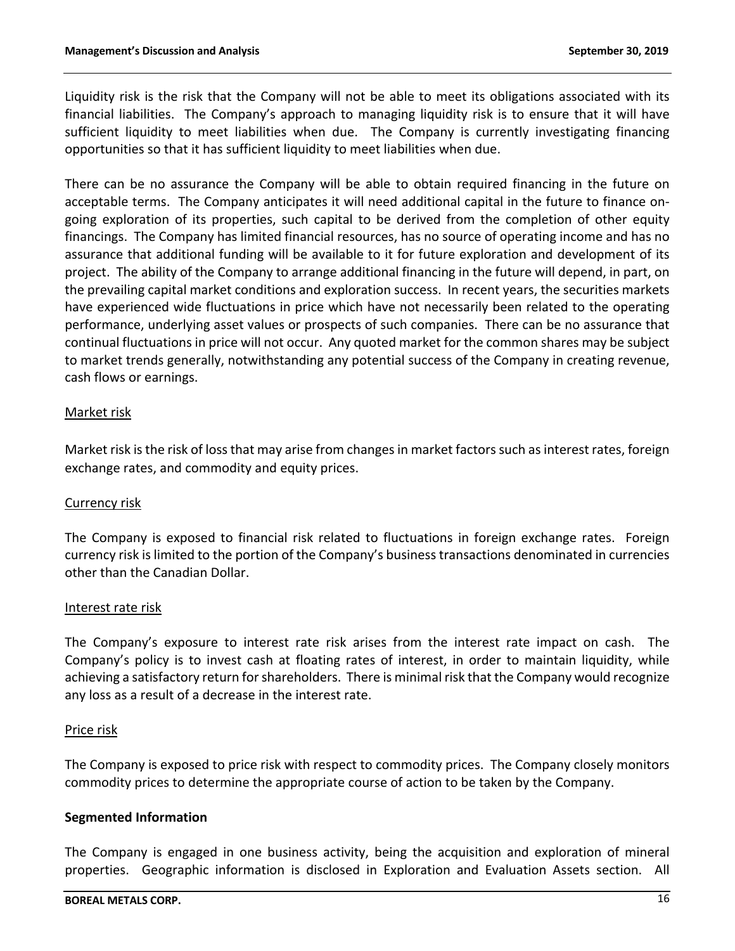Liquidity risk is the risk that the Company will not be able to meet its obligations associated with its financial liabilities. The Company's approach to managing liquidity risk is to ensure that it will have sufficient liquidity to meet liabilities when due. The Company is currently investigating financing opportunities so that it has sufficient liquidity to meet liabilities when due.

There can be no assurance the Company will be able to obtain required financing in the future on acceptable terms. The Company anticipates it will need additional capital in the future to finance ongoing exploration of its properties, such capital to be derived from the completion of other equity financings. The Company has limited financial resources, has no source of operating income and has no assurance that additional funding will be available to it for future exploration and development of its project. The ability of the Company to arrange additional financing in the future will depend, in part, on the prevailing capital market conditions and exploration success. In recent years, the securities markets have experienced wide fluctuations in price which have not necessarily been related to the operating performance, underlying asset values or prospects of such companies. There can be no assurance that continual fluctuations in price will not occur. Any quoted market for the common shares may be subject to market trends generally, notwithstanding any potential success of the Company in creating revenue, cash flows or earnings.

### Market risk

Market risk is the risk of loss that may arise from changes in market factors such as interest rates, foreign exchange rates, and commodity and equity prices.

#### Currency risk

The Company is exposed to financial risk related to fluctuations in foreign exchange rates. Foreign currency risk is limited to the portion of the Company's business transactions denominated in currencies other than the Canadian Dollar.

#### Interest rate risk

The Company's exposure to interest rate risk arises from the interest rate impact on cash. The Company's policy is to invest cash at floating rates of interest, in order to maintain liquidity, while achieving a satisfactory return for shareholders. There is minimal risk that the Company would recognize any loss as a result of a decrease in the interest rate.

#### Price risk

The Company is exposed to price risk with respect to commodity prices. The Company closely monitors commodity prices to determine the appropriate course of action to be taken by the Company.

#### **Segmented Information**

The Company is engaged in one business activity, being the acquisition and exploration of mineral properties. Geographic information is disclosed in Exploration and Evaluation Assets section. All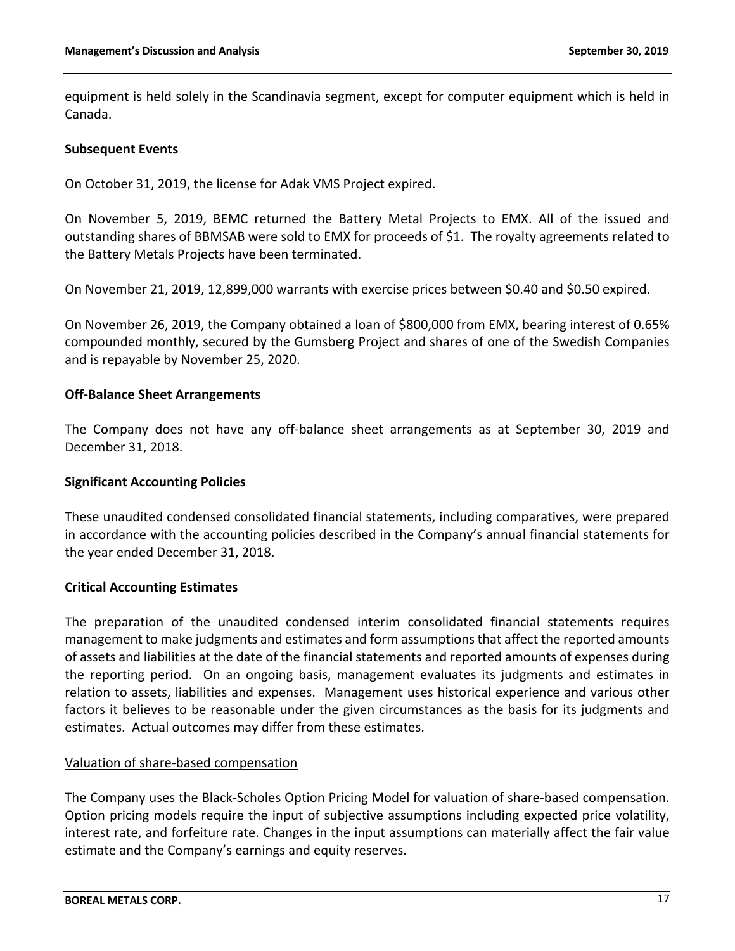equipment is held solely in the Scandinavia segment, except for computer equipment which is held in Canada.

### **Subsequent Events**

On October 31, 2019, the license for Adak VMS Project expired.

On November 5, 2019, BEMC returned the Battery Metal Projects to EMX. All of the issued and outstanding shares of BBMSAB were sold to EMX for proceeds of \$1. The royalty agreements related to the Battery Metals Projects have been terminated.

On November 21, 2019, 12,899,000 warrants with exercise prices between \$0.40 and \$0.50 expired.

On November 26, 2019, the Company obtained a loan of \$800,000 from EMX, bearing interest of 0.65% compounded monthly, secured by the Gumsberg Project and shares of one of the Swedish Companies and is repayable by November 25, 2020.

### **Off-Balance Sheet Arrangements**

The Company does not have any off-balance sheet arrangements as at September 30, 2019 and December 31, 2018.

### **Significant Accounting Policies**

These unaudited condensed consolidated financial statements, including comparatives, were prepared in accordance with the accounting policies described in the Company's annual financial statements for the year ended December 31, 2018.

#### **Critical Accounting Estimates**

The preparation of the unaudited condensed interim consolidated financial statements requires management to make judgments and estimates and form assumptions that affect the reported amounts of assets and liabilities at the date of the financial statements and reported amounts of expenses during the reporting period. On an ongoing basis, management evaluates its judgments and estimates in relation to assets, liabilities and expenses. Management uses historical experience and various other factors it believes to be reasonable under the given circumstances as the basis for its judgments and estimates. Actual outcomes may differ from these estimates.

#### Valuation of share-based compensation

The Company uses the Black-Scholes Option Pricing Model for valuation of share-based compensation. Option pricing models require the input of subjective assumptions including expected price volatility, interest rate, and forfeiture rate. Changes in the input assumptions can materially affect the fair value estimate and the Company's earnings and equity reserves.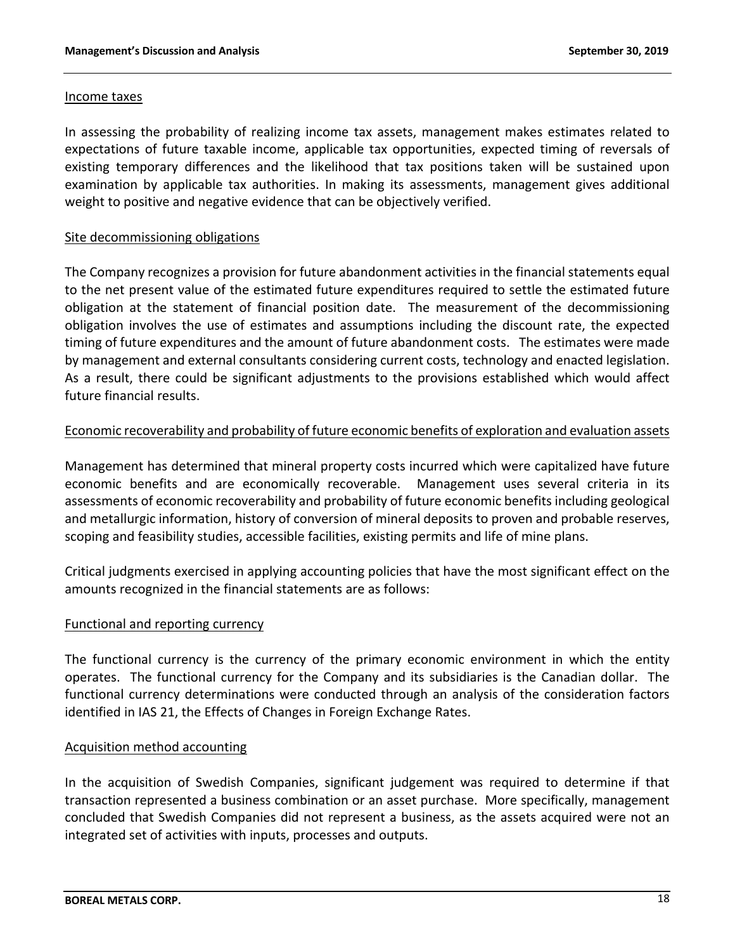### Income taxes

In assessing the probability of realizing income tax assets, management makes estimates related to expectations of future taxable income, applicable tax opportunities, expected timing of reversals of existing temporary differences and the likelihood that tax positions taken will be sustained upon examination by applicable tax authorities. In making its assessments, management gives additional weight to positive and negative evidence that can be objectively verified.

# Site decommissioning obligations

The Company recognizes a provision for future abandonment activities in the financial statements equal to the net present value of the estimated future expenditures required to settle the estimated future obligation at the statement of financial position date. The measurement of the decommissioning obligation involves the use of estimates and assumptions including the discount rate, the expected timing of future expenditures and the amount of future abandonment costs. The estimates were made by management and external consultants considering current costs, technology and enacted legislation. As a result, there could be significant adjustments to the provisions established which would affect future financial results.

# Economic recoverability and probability of future economic benefits of exploration and evaluation assets

Management has determined that mineral property costs incurred which were capitalized have future economic benefits and are economically recoverable. Management uses several criteria in its assessments of economic recoverability and probability of future economic benefits including geological and metallurgic information, history of conversion of mineral deposits to proven and probable reserves, scoping and feasibility studies, accessible facilities, existing permits and life of mine plans.

Critical judgments exercised in applying accounting policies that have the most significant effect on the amounts recognized in the financial statements are as follows:

# Functional and reporting currency

The functional currency is the currency of the primary economic environment in which the entity operates. The functional currency for the Company and its subsidiaries is the Canadian dollar. The functional currency determinations were conducted through an analysis of the consideration factors identified in IAS 21, the Effects of Changes in Foreign Exchange Rates.

# Acquisition method accounting

In the acquisition of Swedish Companies, significant judgement was required to determine if that transaction represented a business combination or an asset purchase. More specifically, management concluded that Swedish Companies did not represent a business, as the assets acquired were not an integrated set of activities with inputs, processes and outputs.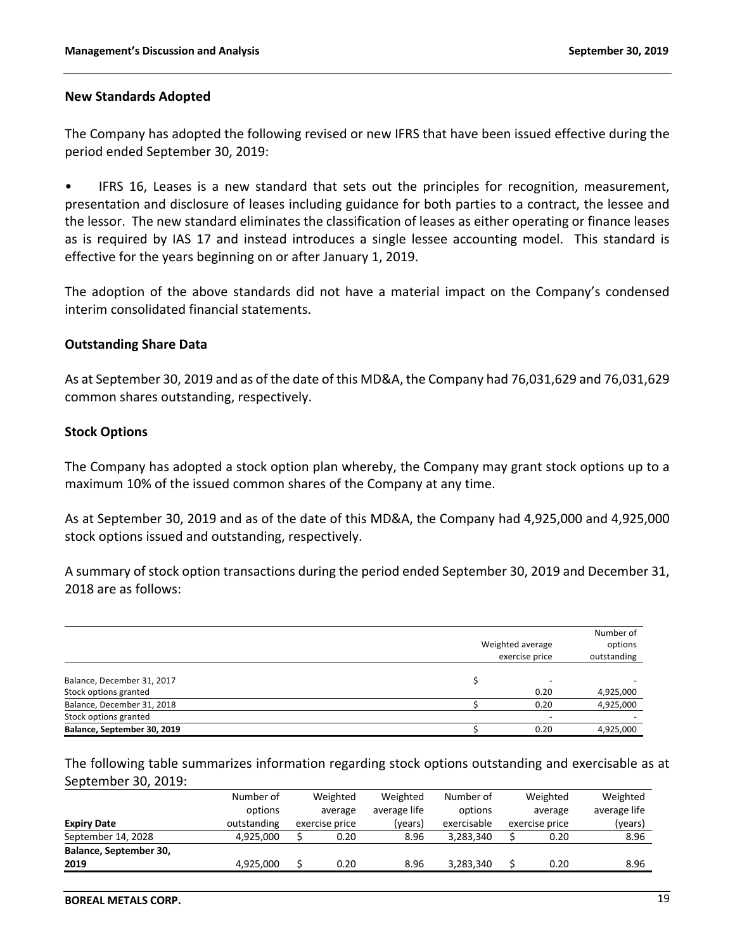### **New Standards Adopted**

The Company has adopted the following revised or new IFRS that have been issued effective during the period ended September 30, 2019:

• IFRS 16, Leases is a new standard that sets out the principles for recognition, measurement, presentation and disclosure of leases including guidance for both parties to a contract, the lessee and the lessor. The new standard eliminates the classification of leases as either operating or finance leases as is required by IAS 17 and instead introduces a single lessee accounting model. This standard is effective for the years beginning on or after January 1, 2019.

The adoption of the above standards did not have a material impact on the Company's condensed interim consolidated financial statements.

### **Outstanding Share Data**

As at September 30, 2019 and as of the date of this MD&A, the Company had 76,031,629 and 76,031,629 common shares outstanding, respectively.

### **Stock Options**

The Company has adopted a stock option plan whereby, the Company may grant stock options up to a maximum 10% of the issued common shares of the Company at any time.

As at September 30, 2019 and as of the date of this MD&A, the Company had 4,925,000 and 4,925,000 stock options issued and outstanding, respectively.

A summary of stock option transactions during the period ended September 30, 2019 and December 31, 2018 are as follows:

|                                                     | Number of<br>Weighted average<br>options<br>exercise price<br>outstanding |                                  |           |  |  |  |  |
|-----------------------------------------------------|---------------------------------------------------------------------------|----------------------------------|-----------|--|--|--|--|
| Balance, December 31, 2017<br>Stock options granted |                                                                           | $\overline{\phantom{a}}$<br>0.20 | 4,925,000 |  |  |  |  |
| Balance, December 31, 2018                          |                                                                           | 0.20                             | 4,925,000 |  |  |  |  |
| Stock options granted                               |                                                                           | $\overline{\phantom{a}}$         |           |  |  |  |  |
| Balance, September 30, 2019                         |                                                                           | 0.20                             | 4,925,000 |  |  |  |  |

The following table summarizes information regarding stock options outstanding and exercisable as at September 30, 2019:

|                        | Number of<br>options | Weighted                  | Weighted<br>average life | Number of<br>options | Weighted                  | Weighted<br>average life |
|------------------------|----------------------|---------------------------|--------------------------|----------------------|---------------------------|--------------------------|
| <b>Expiry Date</b>     | outstanding          | average<br>exercise price | (vears)                  | exercisable          | average<br>exercise price | (years)                  |
| September 14, 2028     | 4.925.000            | 0.20                      | 8.96                     | 3.283.340            | 0.20                      | 8.96                     |
| Balance, September 30, |                      |                           |                          |                      |                           |                          |
| 2019                   | 4,925,000            | 0.20                      | 8.96                     | 3,283,340            | 0.20                      | 8.96                     |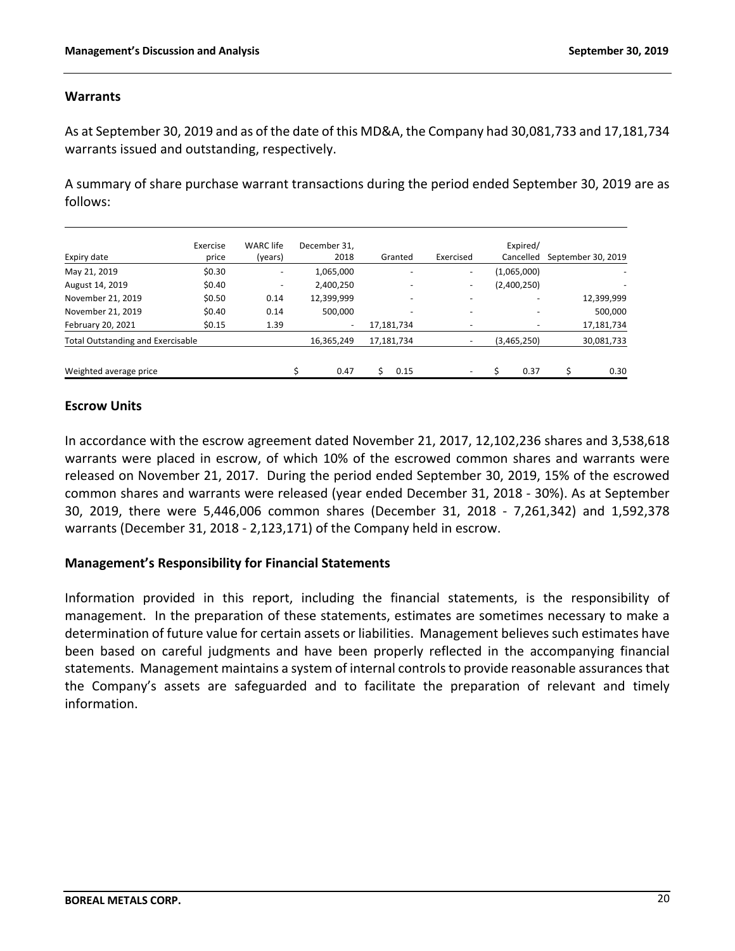# **Warrants**

As at September 30, 2019 and as of the date of this MD&A, the Company had 30,081,733 and 17,181,734 warrants issued and outstanding, respectively.

A summary of share purchase warrant transactions during the period ended September 30, 2019 are as follows:

|                                          | Exercise | <b>WARC</b> life         | December 31,             |            |           | Expired/    |                    |
|------------------------------------------|----------|--------------------------|--------------------------|------------|-----------|-------------|--------------------|
| Expiry date                              | price    | (years)                  | 2018                     | Granted    | Exercised | Cancelled   | September 30, 2019 |
| May 21, 2019                             | \$0.30   | $\overline{\phantom{a}}$ | 1,065,000                |            | ۰.        | (1,065,000) |                    |
| August 14, 2019                          | \$0.40   | $\overline{\phantom{a}}$ | 2,400,250                |            | ۰.        | (2,400,250) |                    |
| November 21, 2019                        | \$0.50   | 0.14                     | 12,399,999               | ٠          | -         |             | 12,399,999         |
| November 21, 2019                        | \$0.40   | 0.14                     | 500,000                  |            |           |             | 500,000            |
| February 20, 2021                        | \$0.15   | 1.39                     | $\overline{\phantom{a}}$ | 17,181,734 |           |             | 17,181,734         |
| <b>Total Outstanding and Exercisable</b> |          |                          | 16,365,249               | 17,181,734 |           | (3,465,250) | 30,081,733         |
| Weighted average price                   |          |                          | \$<br>0.47               | 0.15       | ۰         | 0.37        | 0.30               |

# **Escrow Units**

In accordance with the escrow agreement dated November 21, 2017, 12,102,236 shares and 3,538,618 warrants were placed in escrow, of which 10% of the escrowed common shares and warrants were released on November 21, 2017. During the period ended September 30, 2019, 15% of the escrowed common shares and warrants were released (year ended December 31, 2018 - 30%). As at September 30, 2019, there were 5,446,006 common shares (December 31, 2018 - 7,261,342) and 1,592,378 warrants (December 31, 2018 - 2,123,171) of the Company held in escrow.

# **Management's Responsibility for Financial Statements**

Information provided in this report, including the financial statements, is the responsibility of management. In the preparation of these statements, estimates are sometimes necessary to make a determination of future value for certain assets or liabilities. Management believes such estimates have been based on careful judgments and have been properly reflected in the accompanying financial statements. Management maintains a system of internal controls to provide reasonable assurances that the Company's assets are safeguarded and to facilitate the preparation of relevant and timely information.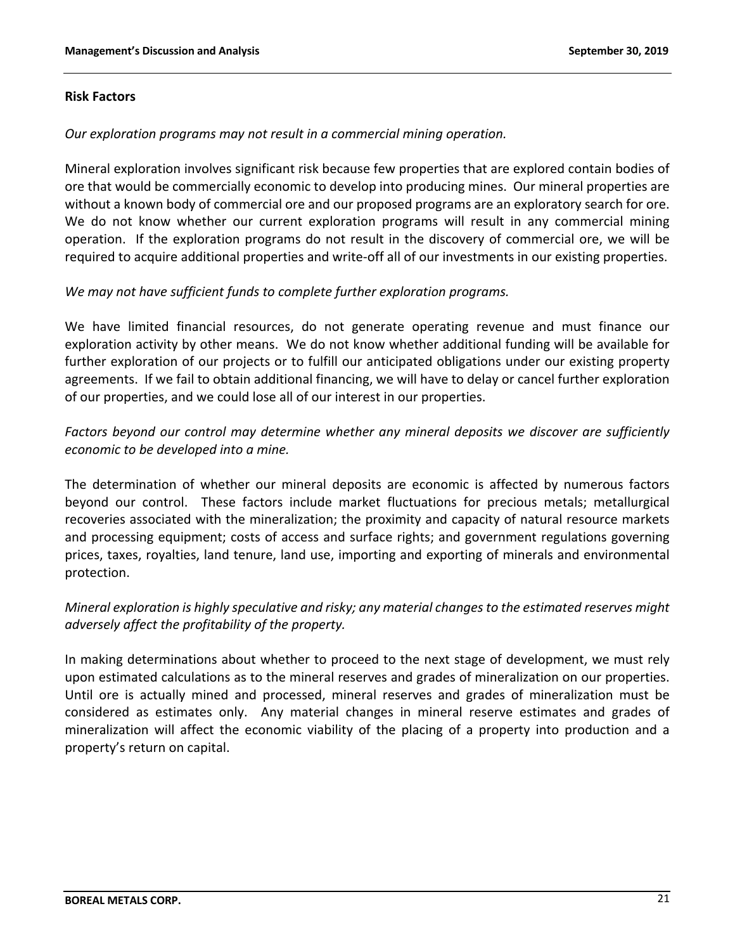### **Risk Factors**

### *Our exploration programs may not result in a commercial mining operation.*

Mineral exploration involves significant risk because few properties that are explored contain bodies of ore that would be commercially economic to develop into producing mines. Our mineral properties are without a known body of commercial ore and our proposed programs are an exploratory search for ore. We do not know whether our current exploration programs will result in any commercial mining operation. If the exploration programs do not result in the discovery of commercial ore, we will be required to acquire additional properties and write-off all of our investments in our existing properties.

# *We may not have sufficient funds to complete further exploration programs.*

We have limited financial resources, do not generate operating revenue and must finance our exploration activity by other means. We do not know whether additional funding will be available for further exploration of our projects or to fulfill our anticipated obligations under our existing property agreements. If we fail to obtain additional financing, we will have to delay or cancel further exploration of our properties, and we could lose all of our interest in our properties.

# *Factors beyond our control may determine whether any mineral deposits we discover are sufficiently economic to be developed into a mine.*

The determination of whether our mineral deposits are economic is affected by numerous factors beyond our control. These factors include market fluctuations for precious metals; metallurgical recoveries associated with the mineralization; the proximity and capacity of natural resource markets and processing equipment; costs of access and surface rights; and government regulations governing prices, taxes, royalties, land tenure, land use, importing and exporting of minerals and environmental protection.

# *Mineral exploration is highly speculative and risky; any material changes to the estimated reserves might adversely affect the profitability of the property.*

In making determinations about whether to proceed to the next stage of development, we must rely upon estimated calculations as to the mineral reserves and grades of mineralization on our properties. Until ore is actually mined and processed, mineral reserves and grades of mineralization must be considered as estimates only. Any material changes in mineral reserve estimates and grades of mineralization will affect the economic viability of the placing of a property into production and a property's return on capital.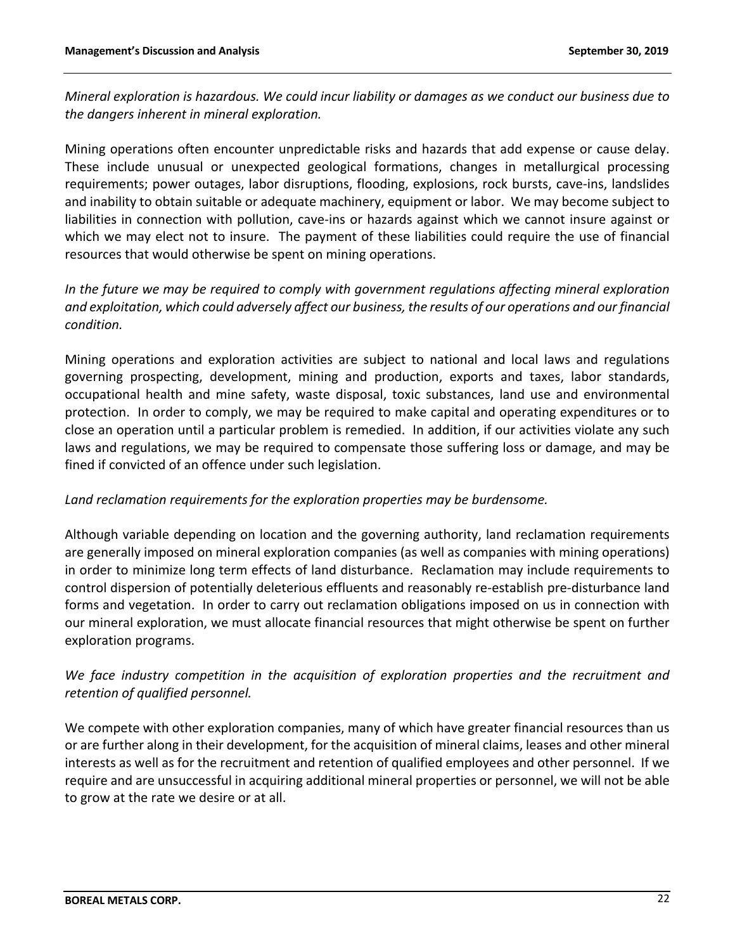*Mineral exploration is hazardous. We could incur liability or damages as we conduct our business due to the dangers inherent in mineral exploration.*

Mining operations often encounter unpredictable risks and hazards that add expense or cause delay. These include unusual or unexpected geological formations, changes in metallurgical processing requirements; power outages, labor disruptions, flooding, explosions, rock bursts, cave-ins, landslides and inability to obtain suitable or adequate machinery, equipment or labor. We may become subject to liabilities in connection with pollution, cave-ins or hazards against which we cannot insure against or which we may elect not to insure. The payment of these liabilities could require the use of financial resources that would otherwise be spent on mining operations.

*In the future we may be required to comply with government regulations affecting mineral exploration and exploitation, which could adversely affect our business, the results of our operations and our financial condition.*

Mining operations and exploration activities are subject to national and local laws and regulations governing prospecting, development, mining and production, exports and taxes, labor standards, occupational health and mine safety, waste disposal, toxic substances, land use and environmental protection. In order to comply, we may be required to make capital and operating expenditures or to close an operation until a particular problem is remedied. In addition, if our activities violate any such laws and regulations, we may be required to compensate those suffering loss or damage, and may be fined if convicted of an offence under such legislation.

# *Land reclamation requirements for the exploration properties may be burdensome.*

Although variable depending on location and the governing authority, land reclamation requirements are generally imposed on mineral exploration companies (as well as companies with mining operations) in order to minimize long term effects of land disturbance. Reclamation may include requirements to control dispersion of potentially deleterious effluents and reasonably re-establish pre-disturbance land forms and vegetation. In order to carry out reclamation obligations imposed on us in connection with our mineral exploration, we must allocate financial resources that might otherwise be spent on further exploration programs.

# *We face industry competition in the acquisition of exploration properties and the recruitment and retention of qualified personnel.*

We compete with other exploration companies, many of which have greater financial resources than us or are further along in their development, for the acquisition of mineral claims, leases and other mineral interests as well as for the recruitment and retention of qualified employees and other personnel. If we require and are unsuccessful in acquiring additional mineral properties or personnel, we will not be able to grow at the rate we desire or at all.